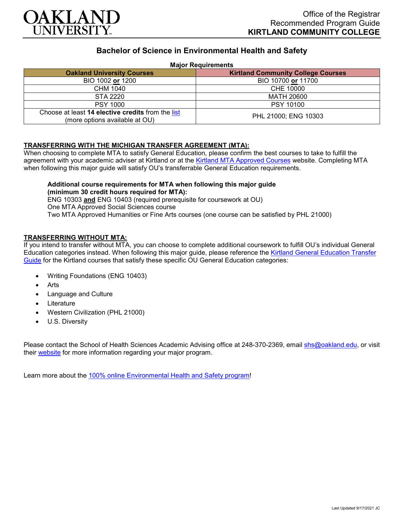

## **Bachelor of Science in Environmental Health and Safety**

#### **Major Requirements**

| <b>Oakland University Courses</b>                                                   | <b>Kirtland Community College Courses</b> |
|-------------------------------------------------------------------------------------|-------------------------------------------|
| BIO 1002 or 1200                                                                    | BIO 10700 or 11700                        |
| CHM 1040                                                                            | CHE 10000                                 |
| STA 2220                                                                            | MATH 20600                                |
| <b>PSY 1000</b>                                                                     | PSY 10100                                 |
| Choose at least 14 elective credits from the list<br>(more options available at OU) | PHL 21000; ENG 10303                      |

### **TRANSFERRING WITH THE MICHIGAN TRANSFER AGREEMENT (MTA):**

When choosing to complete MTA to satisfy General Education, please confirm the best courses to take to fulfill the agreement with your academic adviser at Kirtland or at the [Kirtland MTA Approved Courses](https://www.kirtland.edu/registrar/michigan-transfer-agreement) website. Completing MTA when following this major guide will satisfy OU's transferrable General Education requirements.

# **Additional course requirements for MTA when following this major guide**

**(minimum 30 credit hours required for MTA):** ENG 10303 **and** ENG 10403 (required prerequisite for coursework at OU) One MTA Approved Social Sciences course Two MTA Approved Humanities or Fine Arts courses (one course can be satisfied by PHL 21000)

### **TRANSFERRING WITHOUT MTA:**

If you intend to transfer without MTA, you can choose to complete additional coursework to fulfill OU's individual General Education categories instead. When following this major guide, please reference the [Kirtland General Education Transfer](https://www.oakland.edu/Assets/Oakland/program-guides/kirtland-community-college/university-general-education-requirements/Kirtland%20Gen%20Ed.pdf)  [Guide](https://www.oakland.edu/Assets/Oakland/program-guides/kirtland-community-college/university-general-education-requirements/Kirtland%20Gen%20Ed.pdf) for the Kirtland courses that satisfy these specific OU General Education categories:

- Writing Foundations (ENG 10403)
- **Arts**
- Language and Culture
- **Literature**
- Western Civilization (PHL 21000)
- U.S. Diversity

Please contact the School of Health Sciences Academic Advising office at 248-370-2369, email [shs@oakland.edu,](mailto:shs@oakland.edu) or visit their [website](http://www.oakland.edu/shs/advising) for more information regarding your major program.

Learn more about the [100% online Environmental Health and Safety program!](https://www.oakland.edu/online/undergraduate-degree-programs/ehs/)